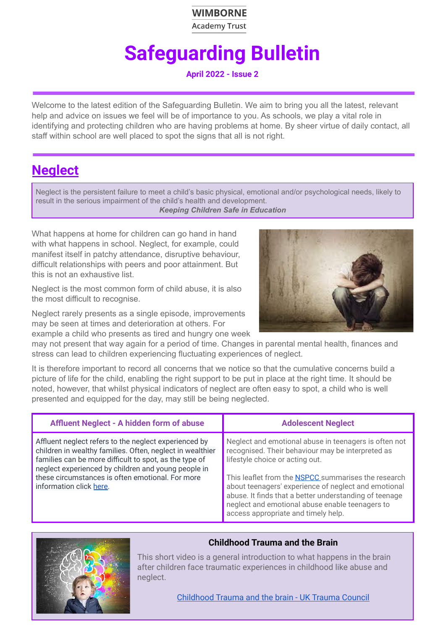### **WIMBORNE**

**Academy Trust** 

# **Safeguarding Bulletin**

**April 2022 - Issue 2**

Welcome to the latest edition of the Safeguarding Bulletin. We aim to bring you all the latest, relevant help and advice on issues we feel will be of importance to you. As schools, we play a vital role in identifying and protecting children who are having problems at home. By sheer virtue of daily contact, all staff within school are well placed to spot the signs that all is not right.

## **Neglect**

Neglect is the persistent failure to meet a child's basic physical, emotional and/or psychological needs, likely to result in the serious impairment of the child's health and development.

*Keeping Children Safe in Education*

What happens at home for children can go hand in hand with what happens in school. Neglect, for example, could manifest itself in patchy attendance, disruptive behaviour, difficult relationships with peers and poor attainment. But this is not an exhaustive list.

Neglect is the most common form of child abuse, it is also the most difficult to recognise.

Neglect rarely presents as a single episode, improvements may be seen at times and deterioration at others. For example a child who presents as tired and hungry one week



may not present that way again for a period of time. Changes in parental mental health, finances and stress can lead to children experiencing fluctuating experiences of neglect.

It is therefore important to record all concerns that we notice so that the cumulative concerns build a picture of life for the child, enabling the right support to be put in place at the right time. It should be noted, however, that whilst physical indicators of neglect are often easy to spot, a child who is well presented and equipped for the day, may still be being neglected.

| Affluent Neglect - A hidden form of abuse                                                                                                                                                                                                                                                                          | <b>Adolescent Neglect</b>                                                                                                                                                                                                                                                                                                                                                                                               |
|--------------------------------------------------------------------------------------------------------------------------------------------------------------------------------------------------------------------------------------------------------------------------------------------------------------------|-------------------------------------------------------------------------------------------------------------------------------------------------------------------------------------------------------------------------------------------------------------------------------------------------------------------------------------------------------------------------------------------------------------------------|
| Affluent neglect refers to the neglect experienced by<br>children in wealthy families. Often, neglect in wealthier<br>families can be more difficult to spot, as the type of<br>neglect experienced by children and young people in<br>these circumstances is often emotional. For more<br>information click here. | Neglect and emotional abuse in teenagers is often not<br>recognised. Their behaviour may be interpreted as<br>lifestyle choice or acting out.<br>This leaflet from the <b>NSPCC</b> summarises the research<br>about teenagers' experience of neglect and emotional<br>abuse. It finds that a better understanding of teenage<br>neglect and emotional abuse enable teenagers to<br>access appropriate and timely help. |



### **Childhood Trauma and the Brain**

This short video is a general introduction to what happens in the brain after children face traumatic experiences in childhood like abuse and neglect.

[Childhood](https://www.youtube.com/watch?v=xYBUY1kZpf8) Trauma and the brain - UK Trauma Council